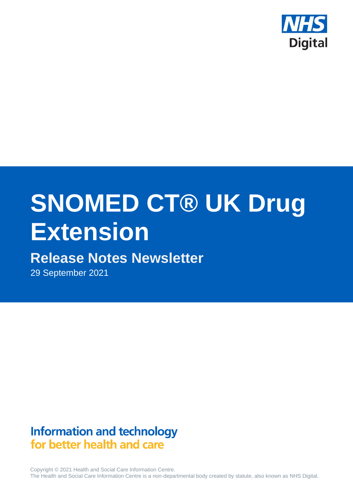

# **SNOMED CT® UK Drug Extension**

# **Release Notes Newsletter**

29 September 2021

# **Information and technology** for better health and care

Copyright © 2021 Health and Social Care Information Centre. The Health and Social Care Information Centre is a non-departmental body created by statute, also known as NHS Digital.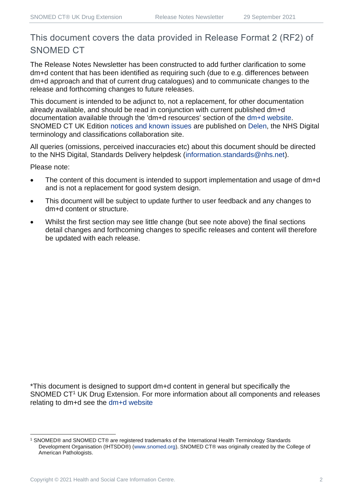## This document covers the data provided in Release Format 2 (RF2) of SNOMED CT

The Release Notes Newsletter has been constructed to add further clarification to some dm+d content that has been identified as requiring such (due to e.g. differences between dm+d approach and that of current drug catalogues) and to communicate changes to the release and forthcoming changes to future releases.

This document is intended to be adjunct to, not a replacement, for other documentation already available, and should be read in conjunction with current published dm+d documentation available through the 'dm+d resources' section of the [dm+d website.](https://www.nhsbsa.nhs.uk/pharmacies-gp-practices-and-appliance-contractors/dictionary-medicines-and-devices-dmd) SNOMED CT UK Edition [notices and known issues](https://hscic.kahootz.com/connect.ti/t_c_home/view?objectId=14224752) are published on [Delen,](https://hscic.kahootz.com/connect.ti/t_c_home) the NHS Digital terminology and classifications collaboration site.

All queries (omissions, perceived inaccuracies etc) about this document should be directed to the NHS Digital, Standards Delivery helpdesk [\(information.standards@nhs.net\)](mailto:information.standards@nhs.net).

Please note:

- The content of this document is intended to support implementation and usage of dm+d and is not a replacement for good system design.
- This document will be subject to update further to user feedback and any changes to dm+d content or structure.
- Whilst the first section may see little change (but see note above) the final sections detail changes and forthcoming changes to specific releases and content will therefore be updated with each release.

\*This document is designed to support dm+d content in general but specifically the SNOMED CT<sup>1</sup> UK Drug Extension. For more information about all components and releases relating to dm+d see the [dm+d website](https://www.nhsbsa.nhs.uk/pharmacies-gp-practices-and-appliance-contractors/dictionary-medicines-and-devices-dmd)

<sup>1</sup> SNOMED® and SNOMED CT® are registered trademarks of the International Health Terminology Standards Development Organisation (IHTSDO®) [\(www.snomed.org\)](http://www.snomed.org/). SNOMED CT® was originally created by the College of American Pathologists.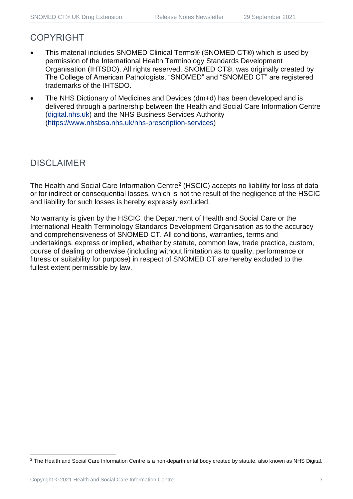### COPYRIGHT

- This material includes SNOMED Clinical Terms® (SNOMED CT®) which is used by permission of the International Health Terminology Standards Development Organisation (IHTSDO). All rights reserved. SNOMED CT®, was originally created by The College of American Pathologists. "SNOMED" and "SNOMED CT" are registered trademarks of the IHTSDO.
- The NHS Dictionary of Medicines and Devices (dm+d) has been developed and is delivered through a partnership between the Health and Social Care Information Centre [\(digital.nhs.uk\)](https://digital.nhs.uk/) and the NHS Business Services Authority [\(https://www.nhsbsa.nhs.uk/nhs-prescription-services\)](https://www.nhsbsa.nhs.uk/nhs-prescription-services)

## DISCLAIMER

The Health and Social Care Information Centre<sup>2</sup> (HSCIC) accepts no liability for loss of data or for indirect or consequential losses, which is not the result of the negligence of the HSCIC and liability for such losses is hereby expressly excluded.

No warranty is given by the HSCIC, the Department of Health and Social Care or the International Health Terminology Standards Development Organisation as to the accuracy and comprehensiveness of SNOMED CT. All conditions, warranties, terms and undertakings, express or implied, whether by statute, common law, trade practice, custom, course of dealing or otherwise (including without limitation as to quality, performance or fitness or suitability for purpose) in respect of SNOMED CT are hereby excluded to the fullest extent permissible by law.

<sup>&</sup>lt;sup>2</sup> The Health and Social Care Information Centre is a non-departmental body created by statute, also known as NHS Digital.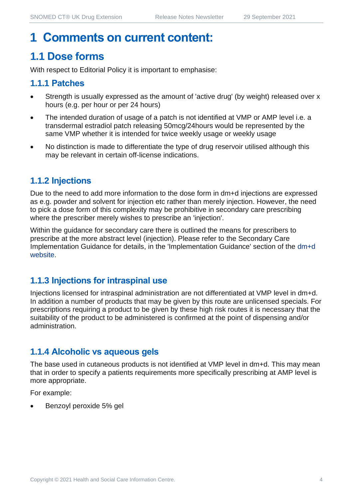## **1 Comments on current content:**

## **1.1 Dose forms**

With respect to Editorial Policy it is important to emphasise:

#### **1.1.1 Patches**

- Strength is usually expressed as the amount of 'active drug' (by weight) released over x hours (e.g. per hour or per 24 hours)
- The intended duration of usage of a patch is not identified at VMP or AMP level i.e. a transdermal estradiol patch releasing 50mcg/24hours would be represented by the same VMP whether it is intended for twice weekly usage or weekly usage
- No distinction is made to differentiate the type of drug reservoir utilised although this may be relevant in certain off-license indications.

#### **1.1.2 Injections**

Due to the need to add more information to the dose form in dm+d injections are expressed as e.g. powder and solvent for injection etc rather than merely injection. However, the need to pick a dose form of this complexity may be prohibitive in secondary care prescribing where the prescriber merely wishes to prescribe an 'injection'.

Within the guidance for secondary care there is outlined the means for prescribers to prescribe at the more abstract level (injection). Please refer to the Secondary Care Implementation Guidance for details, in the 'Implementation Guidance' section of the [dm+d](https://www.nhsbsa.nhs.uk/pharmacies-gp-practices-and-appliance-contractors/dictionary-medicines-and-devices-dmd)  [website.](https://www.nhsbsa.nhs.uk/pharmacies-gp-practices-and-appliance-contractors/dictionary-medicines-and-devices-dmd)

#### **1.1.3 Injections for intraspinal use**

Injections licensed for intraspinal administration are not differentiated at VMP level in dm+d. In addition a number of products that may be given by this route are unlicensed specials. For prescriptions requiring a product to be given by these high risk routes it is necessary that the suitability of the product to be administered is confirmed at the point of dispensing and/or administration.

#### **1.1.4 Alcoholic vs aqueous gels**

The base used in cutaneous products is not identified at VMP level in dm+d. This may mean that in order to specify a patients requirements more specifically prescribing at AMP level is more appropriate.

For example:

• Benzoyl peroxide 5% gel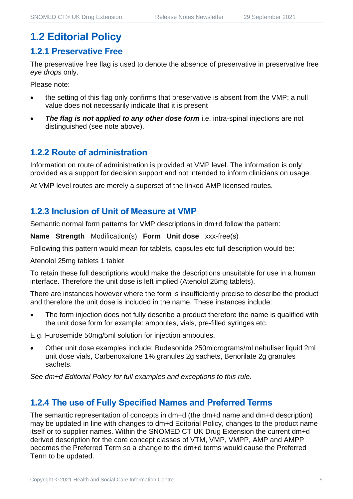## **1.2 Editorial Policy**

#### **1.2.1 Preservative Free**

The preservative free flag is used to denote the absence of preservative in preservative free *eye drops* only.

Please note:

- the setting of this flag only confirms that preservative is absent from the VMP; a null value does not necessarily indicate that it is present
- **The flag is not applied to any other dose form** i.e. intra-spinal injections are not distinguished (see note above).

#### **1.2.2 Route of administration**

Information on route of administration is provided at VMP level. The information is only provided as a support for decision support and not intended to inform clinicians on usage.

At VMP level routes are merely a superset of the linked AMP licensed routes.

#### **1.2.3 Inclusion of Unit of Measure at VMP**

Semantic normal form patterns for VMP descriptions in dm+d follow the pattern:

**Name Strength** Modification(s) **Form Unit dose** xxx-free(s)

Following this pattern would mean for tablets, capsules etc full description would be:

Atenolol 25mg tablets 1 tablet

To retain these full descriptions would make the descriptions unsuitable for use in a human interface. Therefore the unit dose is left implied (Atenolol 25mg tablets).

There are instances however where the form is insufficiently precise to describe the product and therefore the unit dose is included in the name. These instances include:

The form injection does not fully describe a product therefore the name is qualified with the unit dose form for example: ampoules, vials, pre-filled syringes etc.

E.g. Furosemide 50mg/5ml solution for injection ampoules.

• Other unit dose examples include: Budesonide 250micrograms/ml nebuliser liquid 2ml unit dose vials, Carbenoxalone 1% granules 2g sachets, Benorilate 2g granules sachets.

*See dm+d Editorial Policy for full examples and exceptions to this rule.*

#### **1.2.4 The use of Fully Specified Names and Preferred Terms**

The semantic representation of concepts in dm+d (the dm+d name and dm+d description) may be updated in line with changes to dm+d Editorial Policy, changes to the product name itself or to supplier names. Within the SNOMED CT UK Drug Extension the current dm+d derived description for the core concept classes of VTM, VMP, VMPP, AMP and AMPP becomes the Preferred Term so a change to the dm+d terms would cause the Preferred Term to be updated.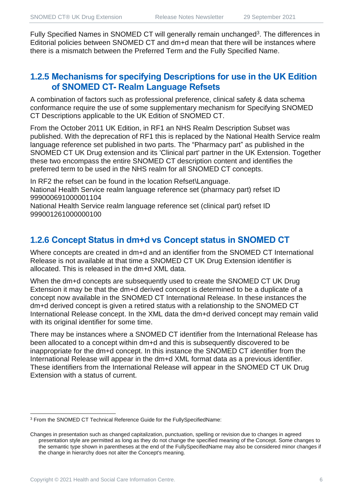Fully Specified Names in SNOMED CT will generally remain unchanged<sup>3</sup>. The differences in Editorial policies between SNOMED CT and dm+d mean that there will be instances where there is a mismatch between the Preferred Term and the Fully Specified Name.

#### **1.2.5 Mechanisms for specifying Descriptions for use in the UK Edition of SNOMED CT- Realm Language Refsets**

A combination of factors such as professional preference, clinical safety & data schema conformance require the use of some supplementary mechanism for Specifying SNOMED CT Descriptions applicable to the UK Edition of SNOMED CT.

From the October 2011 UK Edition, in RF1 an NHS Realm Description Subset was published. With the deprecation of RF1 this is replaced by the National Health Service realm language reference set published in two parts. The "Pharmacy part" as published in the SNOMED CT UK Drug extension and its 'Clinical part' partner in the UK Extension. Together these two encompass the entire SNOMED CT description content and identifies the preferred term to be used in the NHS realm for all SNOMED CT concepts.

In RF2 the refset can be found in the location Refset\Language. National Health Service realm language reference set (pharmacy part) refset ID 999000691000001104

National Health Service realm language reference set (clinical part) refset ID 999001261000000100

#### **1.2.6 Concept Status in dm+d vs Concept status in SNOMED CT**

Where concepts are created in dm+d and an identifier from the SNOMED CT International Release is not available at that time a SNOMED CT UK Drug Extension identifier is allocated. This is released in the dm+d XML data.

When the dm+d concepts are subsequently used to create the SNOMED CT UK Drug Extension it may be that the dm+d derived concept is determined to be a duplicate of a concept now available in the SNOMED CT International Release. In these instances the dm+d derived concept is given a retired status with a relationship to the SNOMED CT International Release concept. In the XML data the dm+d derived concept may remain valid with its original identifier for some time.

There may be instances where a SNOMED CT identifier from the International Release has been allocated to a concept within dm+d and this is subsequently discovered to be inappropriate for the dm+d concept. In this instance the SNOMED CT identifier from the International Release will appear in the dm+d XML format data as a previous identifier. These identifiers from the International Release will appear in the SNOMED CT UK Drug Extension with a status of current.

<sup>3</sup> From the SNOMED CT Technical Reference Guide for the FullySpecifiedName:

Changes in presentation such as changed capitalization, punctuation, spelling or revision due to changes in agreed presentation style are permitted as long as they do not change the specified meaning of the Concept. Some changes to the semantic type shown in parentheses at the end of the FullySpecifiedName may also be considered minor changes if the change in hierarchy does not alter the Concept's meaning.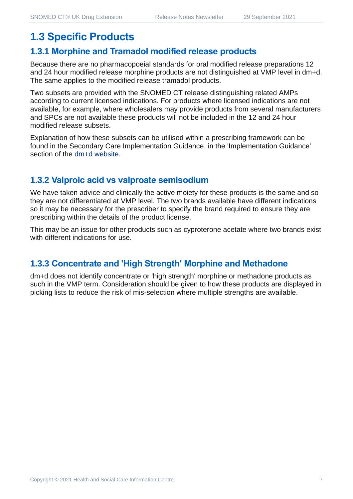## **1.3 Specific Products**

#### **1.3.1 Morphine and Tramadol modified release products**

Because there are no pharmacopoeial standards for oral modified release preparations 12 and 24 hour modified release morphine products are not distinguished at VMP level in dm+d. The same applies to the modified release tramadol products.

Two subsets are provided with the SNOMED CT release distinguishing related AMPs according to current licensed indications. For products where licensed indications are not available, for example, where wholesalers may provide products from several manufacturers and SPCs are not available these products will not be included in the 12 and 24 hour modified release subsets.

Explanation of how these subsets can be utilised within a prescribing framework can be found in the Secondary Care Implementation Guidance, in the 'Implementation Guidance' section of the [dm+d website.](https://www.nhsbsa.nhs.uk/pharmacies-gp-practices-and-appliance-contractors/dictionary-medicines-and-devices-dmd)

#### **1.3.2 Valproic acid vs valproate semisodium**

We have taken advice and clinically the active moiety for these products is the same and so they are not differentiated at VMP level. The two brands available have different indications so it may be necessary for the prescriber to specify the brand required to ensure they are prescribing within the details of the product license.

This may be an issue for other products such as cyproterone acetate where two brands exist with different indications for use.

#### **1.3.3 Concentrate and 'High Strength' Morphine and Methadone**

dm+d does not identify concentrate or 'high strength' morphine or methadone products as such in the VMP term. Consideration should be given to how these products are displayed in picking lists to reduce the risk of mis-selection where multiple strengths are available.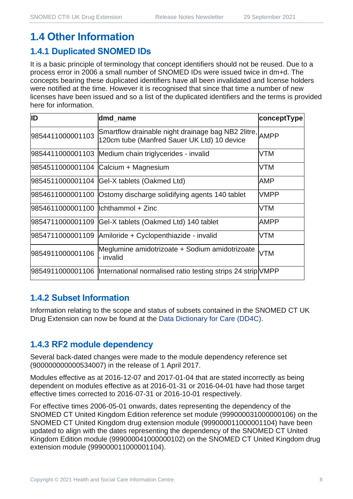## **1.4 Other Information**

#### **1.4.1 Duplicated SNOMED IDs**

It is a basic principle of terminology that concept identifiers should not be reused. Due to a process error in 2006 a small number of SNOMED IDs were issued twice in dm+d. The concepts bearing these duplicated identifiers have all been invalidated and license holders were notified at the time. However it is recognised that since that time a number of new licenses have been issued and so a list of the duplicated identifiers and the terms is provided here for information.

| ID                                  | dmd_name                                                                                               | conceptType |
|-------------------------------------|--------------------------------------------------------------------------------------------------------|-------------|
| 9854411000001103                    | Smartflow drainable night drainage bag NB2 2litre, AMPP<br>120cm tube (Manfred Sauer UK Ltd) 10 device |             |
|                                     | 9854411000001103 Medium chain triglycerides - invalid                                                  | <b>VTM</b>  |
|                                     | 9854511000001104 Calcium + Magnesium                                                                   | <b>VTM</b>  |
|                                     | 9854511000001104 Gel-X tablets (Oakmed Ltd)                                                            | AMP         |
|                                     | 9854611000001100 Ostomy discharge solidifying agents 140 tablet                                        | VMPP        |
| 9854611000001100 llchthammol + Zinc |                                                                                                        | <b>VTM</b>  |
| 9854711000001109                    | Gel-X tablets (Oakmed Ltd) 140 tablet                                                                  | <b>AMPP</b> |
| 9854711000001109                    | Amiloride + Cyclopenthiazide - invalid                                                                 | <b>VTM</b>  |
| 9854911000001106                    | Meglumine amidotrizoate + Sodium amidotrizoate<br>- invalid                                            | <b>VTM</b>  |
|                                     | 9854911000001106  International normalised ratio testing strips 24 strip VMPP                          |             |

#### **1.4.2 Subset Information**

Information relating to the scope and status of subsets contained in the SNOMED CT UK Drug Extension can now be found at the [Data Dictionary for Care \(DD4C\).](https://dd4c.digital.nhs.uk/dd4c/)

#### **1.4.3 RF2 module dependency**

Several back-dated changes were made to the module dependency reference set (900000000000534007) in the release of 1 April 2017.

Modules effective as at 2016-12-07 and 2017-01-04 that are stated incorrectly as being dependent on modules effective as at 2016-01-31 or 2016-04-01 have had those target effective times corrected to 2016-07-31 or 2016-10-01 respectively.

For effective times 2006-05-01 onwards, dates representing the dependency of the SNOMED CT United Kingdom Edition reference set module (999000031000000106) on the SNOMED CT United Kingdom drug extension module (999000011000001104) have been updated to align with the dates representing the dependency of the SNOMED CT United Kingdom Edition module (999000041000000102) on the SNOMED CT United Kingdom drug extension module (999000011000001104).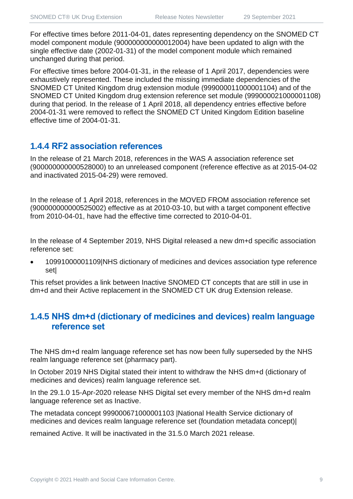For effective times before 2011-04-01, dates representing dependency on the SNOMED CT model component module (900000000000012004) have been updated to align with the single effective date (2002-01-31) of the model component module which remained unchanged during that period.

For effective times before 2004-01-31, in the release of 1 April 2017, dependencies were exhaustively represented. These included the missing immediate dependencies of the SNOMED CT United Kingdom drug extension module (999000011000001104) and of the SNOMED CT United Kingdom drug extension reference set module (999000021000001108) during that period. In the release of 1 April 2018, all dependency entries effective before 2004-01-31 were removed to reflect the SNOMED CT United Kingdom Edition baseline effective time of 2004-01-31.

#### **1.4.4 RF2 association references**

In the release of 21 March 2018, references in the WAS A association reference set (900000000000528000) to an unreleased component (reference effective as at 2015-04-02 and inactivated 2015-04-29) were removed.

In the release of 1 April 2018, references in the MOVED FROM association reference set (900000000000525002) effective as at 2010-03-10, but with a target component effective from 2010-04-01, have had the effective time corrected to 2010-04-01.

In the release of 4 September 2019, NHS Digital released a new dm+d specific association reference set:

• 10991000001109|NHS dictionary of medicines and devices association type reference set|

This refset provides a link between Inactive SNOMED CT concepts that are still in use in dm+d and their Active replacement in the SNOMED CT UK drug Extension release.

#### **1.4.5 NHS dm+d (dictionary of medicines and devices) realm language reference set**

The NHS dm+d realm language reference set has now been fully superseded by the NHS realm language reference set (pharmacy part).

In October 2019 NHS Digital stated their intent to withdraw the NHS dm+d (dictionary of medicines and devices) realm language reference set.

In the 29.1.0 15-Apr-2020 release NHS Digital set every member of the NHS dm+d realm language reference set as Inactive.

The metadata concept 999000671000001103 |National Health Service dictionary of medicines and devices realm language reference set (foundation metadata concept)|

remained Active. It will be inactivated in the 31.5.0 March 2021 release.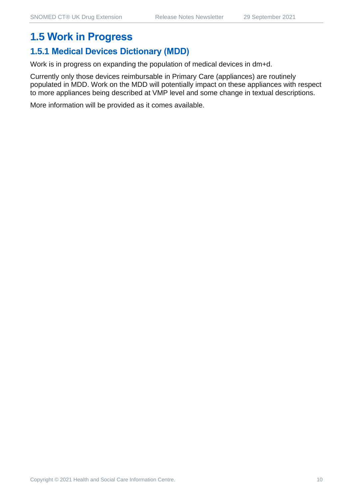## **1.5 Work in Progress**

## **1.5.1 Medical Devices Dictionary (MDD)**

Work is in progress on expanding the population of medical devices in dm+d.

Currently only those devices reimbursable in Primary Care (appliances) are routinely populated in MDD. Work on the MDD will potentially impact on these appliances with respect to more appliances being described at VMP level and some change in textual descriptions.

More information will be provided as it comes available.